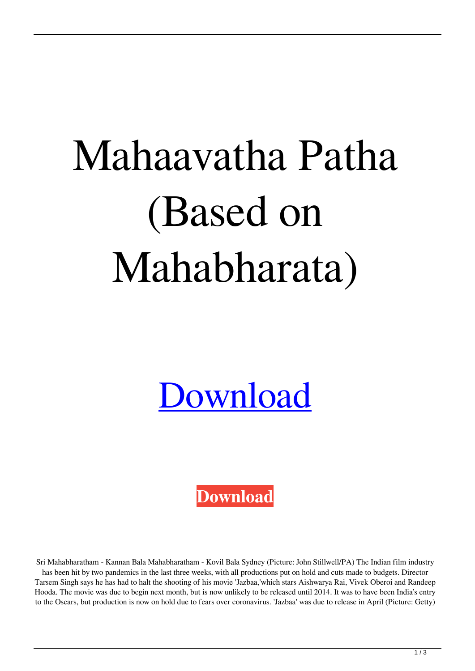## Mahaavatha Patha (Based on Mahabharata)

## [Download](https://urllie.com/2kyem4)

**[Download](https://urllie.com/2kyem4)**

Sri Mahabharatham - Kannan Bala Mahabharatham - Kovil Bala Sydney (Picture: John Stillwell/PA) The Indian film industry has been hit by two pandemics in the last three weeks, with all productions put on hold and cuts made to budgets. Director

Tarsem Singh says he has had to halt the shooting of his movie 'Jazbaa,'which stars Aishwarya Rai, Vivek Oberoi and Randeep Hooda. The movie was due to begin next month, but is now unlikely to be released until 2014. It was to have been India's entry to the Oscars, but production is now on hold due to fears over coronavirus. 'Jazbaa' was due to release in April (Picture: Getty)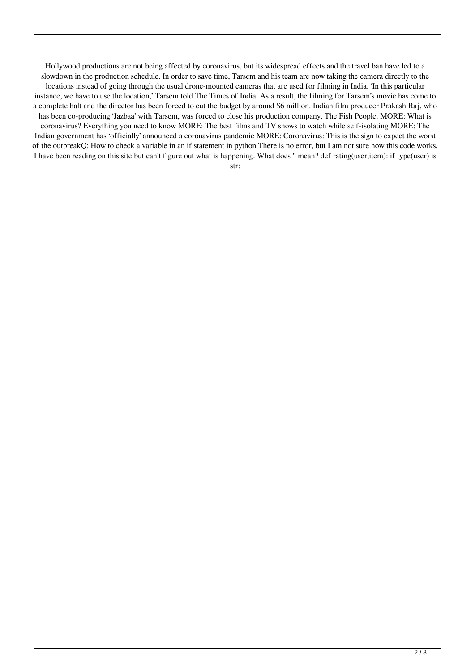Hollywood productions are not being affected by coronavirus, but its widespread effects and the travel ban have led to a slowdown in the production schedule. In order to save time, Tarsem and his team are now taking the camera directly to the locations instead of going through the usual drone-mounted cameras that are used for filming in India. 'In this particular instance, we have to use the location,' Tarsem told The Times of India. As a result, the filming for Tarsem's movie has come to a complete halt and the director has been forced to cut the budget by around \$6 million. Indian film producer Prakash Raj, who has been co-producing 'Jazbaa' with Tarsem, was forced to close his production company, The Fish People. MORE: What is coronavirus? Everything you need to know MORE: The best films and TV shows to watch while self-isolating MORE: The Indian government has 'officially' announced a coronavirus pandemic MORE: Coronavirus: This is the sign to expect the worst of the outbreakQ: How to check a variable in an if statement in python There is no error, but I am not sure how this code works, I have been reading on this site but can't figure out what is happening. What does " mean? def rating(user,item): if type(user) is

str: